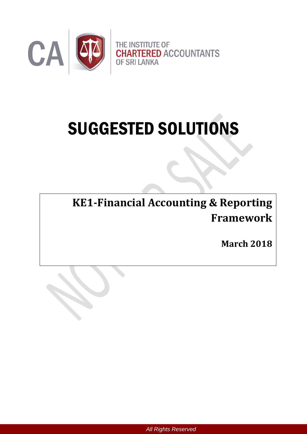

# SUGGESTED SOLUTIONS

**KE1-Financial Accounting & Reporting Framework**

**Suggested Answers and Marking Grids**

**March 2018**

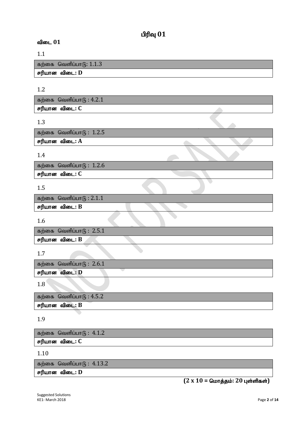## $O(f)$ வு $O(1)$

#### **விடை 01**

#### 1.1

கற்கை வெளிப்பாடு:  $1.1.3$ சரியான விடை: D

### 1.2

| கற்கை வெளிப்பா $\mathfrak{g}: 4.2.1$ |  |
|--------------------------------------|--|
| சரியான விடை: C                       |  |

#### 1.3

| கற்கை வெளிப்பாடு $:~1.2.5$ |  |  |
|----------------------------|--|--|
| சரியான விடை: A             |  |  |
|                            |  |  |

#### 1.4

கற்கை வெளிப்பா $6: 1.2.6$ **சரியான விடை: C** 

#### 1.5

| கற்கை வெளிப்பா $\mathfrak{G}$ : 2.1.1 |  |  |  |  |
|---------------------------------------|--|--|--|--|
| சரியான விடை: B                        |  |  |  |  |

#### 1.6

| சரியான விடை: B              |  |
|-----------------------------|--|
| கற்கை வெளிப்பா $(6: 2.5.1)$ |  |

#### 1.7

| கற்கை வெளிப்பா $(6: 2.6.1)$ |  |
|-----------------------------|--|
| சரியான விடை: D              |  |
|                             |  |

#### 1.8

```
கற்கை வெளிப்பாf_5 : 4.5.2rupahd tpil: B
```
#### 1.9

கற்கை வெளிப்பா $6: 4.1.2$ 

சரியான விடை: C

#### 1.10

கற்கை வெளிப்பா $6: 4.13.2$ 

சரியான விடை: **D** 

# $(2 \times 10 =$  மொத்தம்: 20 புள்ளிகள்)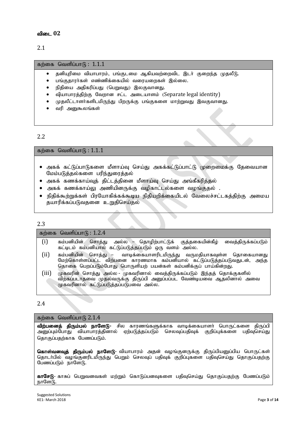2.1

#### கற்கை வெளிப்பா $f<sub>B</sub>$ : 1.1.1

- தனியுரிமை வியாபாரம், பங்குடமை ஆகியவற்றைவிட இடர் குறைந்த முதலீடு.
- பங்குதாரர்கள் எண்ணிக்கையில் வரையறைகள் இல்லை.
- நிதியை அதிகரிப்பது (பெறுவது) இலகுவானது.
- வியாபாரத்திற்கு வேறான சட்ட அடையாளம் (Separate legal identity)
- முதலீட்டாளர்களிடமிருந்து பிறருக்கு பங்குகளை மாற்றுவது இவகுவானது.
- வரி அனுகூலங்கள்

#### 2.2

கற்கை வெளிப்பா $6:1.1.1$ 

- அகக் கட்டுப்பாடுகளை மீளாய்வு செய்து அகக்கட்டுப்பாட்டு முறைமைக்கு தேவையான மேம்படுத்தல்களை பரிந்துரைத்தல்
- $\bullet$  அகக் கணக்காய்வுத் திட்டத்தினை மீளாய்வு செய்து அங்கீகரித்தல்
- அகக் கணக்காய்லு அணியினருக்கு வழிகாட்டல்களை வழங்குதல் .
- நிதிக்கூற்றுக்கள் பிரயோகிக்கக்கூடிய நிதியறிக்கையிடல் வேலைச்சட்டகத்திற்கு அமைய தயாரிக்கப்படுவதனை உறுதிசெய்தல்

#### 2.3

#### கற்கை வெளிப்பா $f<sub>B</sub> : 1.2.4$

- $(i)$  கம்பனியின் சொத்து அல்ல தொழிற்பாட்டுக் குத்தகையின்கீழ் வைத்திருக்கப்படும் கட்டிடம் கம்பனியால் கட்டுப்படுத்தப்படும் ஒரு வளம் அல்ல.
- $(ii)$  கம்பனியின் சொத்து வாடிக்கையாளரிடமிருந்து வருமதியாகவுள்ள தொகையானது மேற்கொள்ளப்பட்ட விற்பனை காரணமாக கம்பனியால் கட்டுப்படுத்தப்படுவதுடன், அந்த தொகை பெறப்படும்போது பொருளியற் பயன்கள் கம்பனிக்குப் பாய்கின்றது.
- (iii) முகவரின் சொத்து அல்ல முகவரினால் வைத்திருக்கப்படும் இந்தத் தொக்குகளில் விற்கப்படாதவை முதல்வருக்கு திருப்பி அனுப்பப்பட வேண்டியவை ஆதலினால் அவை முகவரினால் கட்டுப்படுத்தப்படுபவை அல்ல.

#### 2.4

#### கற்கை வெளிப்பாடு  $2.1.4$

விற்பனைத் திரும்பல் நாளேடு- சில காரணங்களுக்காக வாடிக்கையாளா் பொருட்களை திருப்பி அனுப்பும்போது வியாபாரத்தினால் ஏற்படுத்தப்படும் செலவுப்பதிவுக் குறிப்புக்களை பதிவுசெய்து தொகுப்பதற்காக பேணப்படும்.

கொள்வனவுத் திரும்பல் நாளேடு- வியாபாரம் அதன் வழங்குனருக்கு திருப்பியனுப்பிய பொருட்கள் தொடா்பில் வழங்குனரிடமிருந்து பெறும் செலவுப் பதிவுக் குறிப்புகளை பதிவுசெய்து தொகுப்பதற்கு பேணப்படும் நாளேடு.

காசேடு- காசுப் பெறுவனவகள் மற்றும் கொடுப்பனவுகளை பதிவுசெய்து தொகுப்பதற்கு பேணப்படும்  $n\pi$ ளேடு.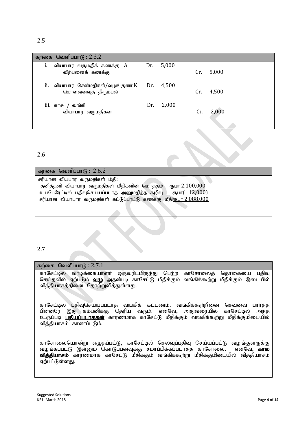|    | கற்கை வெளிப்பா $(6:2.3.2)$                                       |     |             |     |       |
|----|------------------------------------------------------------------|-----|-------------|-----|-------|
|    | வியாபார வருமதிக் கணக்கு -A<br>விற்பனைக் கணக்கு                   |     | Dr. $5,000$ | Cr. | 5,000 |
| Ĥ. | வியாபார சென்மதிகள்/வழங்குனர் K Dr. 4,500<br>கொள்வனவுத் திரும்பல் |     |             | Cr. | 4,500 |
|    | iii. காசு / வங்கி<br>வியாபார வருமதிகள்                           | Dr. | 2,000       | Cr. | 2,000 |

#### 2.6

| கற்கை வெளிப்பாடு : $2.6.2$                                               |
|--------------------------------------------------------------------------|
|                                                                          |
| சரியான வியபார வருமதிகள் மீதி:                                            |
|                                                                          |
| தனித்தனி வியாபார வருமதிகள் மீதிகளின் மொத்தம்<br>$\epsilon$ ҧபா 2,100,000 |
|                                                                          |
| உபபேரேட்டில் பதிவுசெய்யப்படாத அனுமதித்த கழிவு<br>ரூபா <u>(12,000)</u>    |
|                                                                          |
| சரியான வியாபார வருமதிகள் கட்டுப்பாட்டு கணக்கு மீதிரூபா 2,088,000         |
|                                                                          |
|                                                                          |
|                                                                          |

#### 2.7

கற்கை வெளிப்பா $f_5$ : 2.7.1

காசேட்டில் வாடிக்கையாளர் ஒருவரிடமிருந்து பெற்ற காசோலைத் தொகையை பதிவு செய்தலில் ஏற்படும் வழு. அதன்படி காசேட்டு மீதிக்கும் வங்கிக்கூற்று மீதிக்கும் இடையில் வித்தியாசத்தினை தோற்றுவித்துள்ளது.

காசேட்டில் பதிவுசெய்யப்படாத வங்கிக் கட்டணம். வங்கிக்கூற்றினை செவ்வை பார்த்த பின்னரே இது கம்பனிக்கு தெரிய வரும். எனவே, அதுவரையில் காசேட்டில் அந்த உருப்படி **பதியப்படாததன்** காரணமாக காசேட்டு மீதிக்கும் வங்கிக்கூற்று மீதிக்குமிடையில் வித்தியாசம் காணப்படும்.

காசோலையொன்று எழுதப்பட்டு, காசேட்டில் செலவுப்பதிவு செய்யப்பட்டு வழங்குனருக்கு வழங்கப்பட்டு இன்னும் கொடுப்பனவுக்கு சமா்ப்பிக்கப்படாதத காசோலை. எனவே, <mark>கால</mark> <mark>வித்தியாசம்</mark> காரணமாக காசேட்டு மீதிக்கும் வங்கிக்கூற்று மீதிக்குமிடையில் வித்தியாசம் ஏற்பட்டுள்ளது.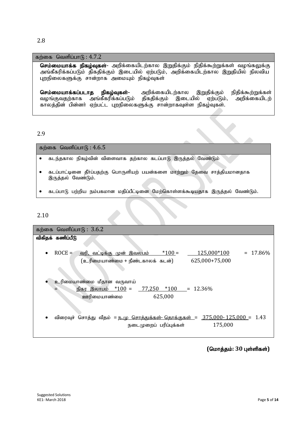#### 2.8

#### கற்கை வெளிப்பா $(6: 4.7.2)$

செம்மையாக்க நிகழ்வுகள்- அறிக்கையிடற்கால இறுதிக்கும் நிதிக்கூற்றுக்கள் வழங்கலுக்கு அங்கீகரிக்கப்படும் திகதிக்கும் இடையில் ஏற்படும், அறிக்கையிடற்கால இறுதியில் நிலவிய புறநிலைகளுக்கு சான்றாக அமையும் நிகழ்வுகள்

**செம்மையாக்கப்படாத நிகழ்வுகள்-** அறிக்கையிடற்கால இறுதிக்கும் நிதிக்கூற்றுக்கள்<br>வழங்குவதற்காக அங்கீகரிக்கப்படும் திகதிக்கும் இடையில் ஏற்படும், அறிக்கையிடற் ்அங்கீகரிக்கப்படும் காலத்தின் பின்னர் ஏற்பட்ட புறநிலைகளுக்கு சான்றாகவுள்ள நிகழ்வுகள்.

#### 2.9

கற்கை வெளிப்பா $f<sub>B</sub>: 4.6.5$ 

- $\bullet$  கடந்தகால நிகழ்வின் விளைவாக தற்கால கடப்பாடு இருத்தல் வேண்டும்
- கடப்பாட்டினை தீர்ப்பதற்கு பொருளியற் பயன்களை மாற்றும் தேவை சாத்தியமானதாக இருத்தல் வேண்டும்.
- கடப்பாடு பற்றிய நம்பகமான மதிப்பீட்டினை மேற்கொள்ளக்கூடியதாக இருத்தல் வேண்டும்.

#### 2.10

|           | கற்கை வெளிப்பாடு : $3.6.2$                                                                                                                   |
|-----------|----------------------------------------------------------------------------------------------------------------------------------------------|
|           | விகிதக் கணிப்பீடு                                                                                                                            |
| $\bullet$ | $ROCE =$<br>$*100 =$<br>125,000*100<br>$= 17.86\%$<br><u>வரி, வட்டிக்கு முன் இவலபம்</u><br>625,000+75,000<br>(உரிமையாண்மை + நீண்டகாலக் கடன்) |
|           | உரிமையாண்மை மீதான வருவாய்<br>நிகர இலாபம் $*100 =$<br>$77,250$ *100 = 12.36%<br>625,000<br>ஊரிமையாண்மை                                        |
|           | விரைவுச் சொத்து வீதம் = <u>ந.மு சொத்துக்கள்- தொக்குகள் = 375,000- 125,000 =</u> 1.43<br>175,000<br>நடைமுறைப் பரிப்புக்கள்                    |

#### $($ மொத்தம்:  $30$  புள்ளிகள்)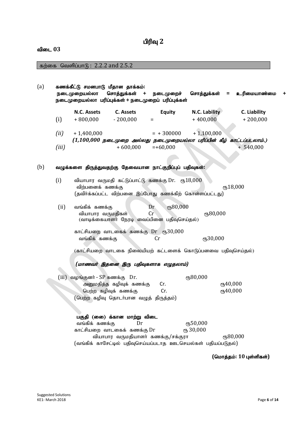# பிரிவு 2

#### விடை 03

கற்கை வெளிப்பாடு : 2.2.2 and 2.5.2

| (a)           | கணக்கீட்டு சமனபாடு மீதான தாக்கம்:<br>நடைமுறையல்லா<br>நடைமுறையல்லா பரிப்புக்கள் + நடைமுறைப் பரிப்புக்கள்                                                | சொத்துக்கள்<br>$\ddot{}$                                                                                                                                                 | நடைமுறைச்                 | சொத்துக்கள்                 | உரிமையாண்மை<br>=           |  |  |  |  |  |
|---------------|--------------------------------------------------------------------------------------------------------------------------------------------------------|--------------------------------------------------------------------------------------------------------------------------------------------------------------------------|---------------------------|-----------------------------|----------------------------|--|--|--|--|--|
| (i)           | N.C. Assets<br>$+800,000$                                                                                                                              | <b>C. Assets</b><br>$-200,000$                                                                                                                                           | <b>Equity</b><br>$=$      | N.C. Lability<br>$+400,000$ | C. Liability<br>$+200,000$ |  |  |  |  |  |
| (ii)<br>(iii) | $+1,400,000$                                                                                                                                           | $(1,100,000$ நடைமுறை அல்லது நடைமுறையல்லா பரிப்பின் கீழ் காட்டப்படலாம்.)<br>$+600,000$                                                                                    | $= +300000$<br>$=+60,000$ | $+1,100,000$                | $+ 540,000$                |  |  |  |  |  |
| (b)           | வழுக்களை திருத்துவதற்கு தேவையான நாட்குறிப்புப் பதிவுகள்:                                                                                               |                                                                                                                                                                          |                           |                             |                            |  |  |  |  |  |
| (i)           | வியாபார வருமதி கட்டுப்பாட்டு கணக்கு Dr. ரூ18,000<br><sub>(</sub> 18,000<br>விற்பனைக் கணக்கு<br>(தவிர்க்கப்பட்ட விற்பனை இப்போது கணக்கிற் கொள்ளப்பட்டது) |                                                                                                                                                                          |                           |                             |                            |  |  |  |  |  |
|               | ரு80,000<br>(ii)<br>வங்கிக் கணக்கு<br>Dr<br>СПБ80,000<br>வியாபார வருமதிகள்<br>Cr<br>(வாடிக்கையாளர் நேரடி வைப்பினை பதிவுசெய்தல்)                        |                                                                                                                                                                          |                           |                             |                            |  |  |  |  |  |
|               | வங்கிக் கணக்கு                                                                                                                                         | காட்சியறை வாடகைக் கணக்கு Dr ரூ30,000                                                                                                                                     | Cr                        | ரூ30,000                    |                            |  |  |  |  |  |
|               |                                                                                                                                                        | (காட்சியறை வாடகை நிலையியற் கட்டளைக் கொடுப்பனவை பதிவுசெய்தல்)                                                                                                             |                           |                             |                            |  |  |  |  |  |
|               |                                                                                                                                                        | (மாணவர் இதனை இரு பதிவுகளாக எழுதலாம்)                                                                                                                                     |                           |                             |                            |  |  |  |  |  |
| (iii)         | வழங்குனர் - SP கணக்கு Dr.                                                                                                                              | அனுமதித்த கழிவுக் கணக்கு<br>பெற்ற கழிவுக் கணக்கு<br>(பெற்ற கழிவு தொடர்பான வழுத் திருத்தம்)                                                                               | Cr.<br>Cr.                | ரு80,000                    | ரு40,000<br>ரு40,000       |  |  |  |  |  |
|               | வங்கிக் கணக்கு                                                                                                                                         | பகுதி (லை) க்கான மாற்று விடை<br>Dr<br>காட்சியறை வாடகைக் கணக்கு Dr<br>வியாபார வருமதியாளர் கணக்கு/சக்குரா<br>(வங்கிக் காசேட்டில் பதிவுசெய்யப்படாத ஊடசெயல்கள் பதியப்படுதல்) |                           | ரூ50,000<br>сть 30,000      | ரு80,000                   |  |  |  |  |  |
|               |                                                                                                                                                        |                                                                                                                                                                          |                           |                             | (மொத்தம்: 10 புள்ளிகள்)    |  |  |  |  |  |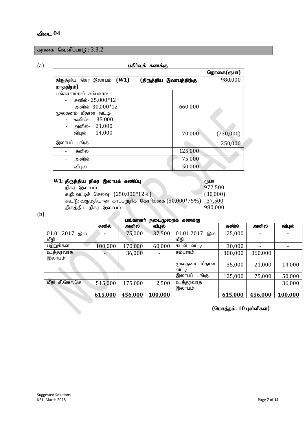கற்கை வெளிப்பா $6: 3.3.2$ 

#### (a)gfph;Tf; fzf;F

|                                                                     |         | தொகை(ரூபா) |
|---------------------------------------------------------------------|---------|------------|
| (திருத்திய இலாபத்திற்கு<br>திருத்திய நிகர இலாபம் (W1)<br>மாத்திரம்} | 980,000 |            |
| பங்காளர்கள் சம்பளம்-                                                |         |            |
| சுனில்- 25,000*12                                                   |         |            |
| அனில்- 30,000*12                                                    | 660,000 |            |
| மூலதனம் மீதான வட்டி-                                                |         |            |
| 35,000<br>சுனில்-                                                   |         |            |
| 21,000<br>அனில்-                                                    |         |            |
| 14,000<br>விபுல்-<br>-                                              | 70,000  | (730,000)  |
| இலாபப் பங்கு                                                        |         | 250,000    |
| சுனில்                                                              | 125,000 |            |
| அனில்                                                               | 75,000  |            |
| விபுல்                                                              | 50,000  |            |
|                                                                     |         |            |

| W1: திருத்திய நிகர இலாபக் கணிப்பு                           | ரிபா     |
|-------------------------------------------------------------|----------|
| நிகர இலாபம்                                                 | 972,500  |
| கழி: வட்டிச் செலவு (250,000*12%)                            | (30,000) |
| கூட்டு; வருமதியான காப்புறுதிக் கோரிக்கை (50,000*75%) 37,500 |          |
| திருத்திய நிகர இலாபம்                                       | 980,000  |
|                                                             |          |

(b)

பங்காளர் நடைமுறைக் கணக்கு

|                         | சுனில்  | அனில்   | விபுல்  |                   | சுனில்  | அனில்   | விபுல்  |
|-------------------------|---------|---------|---------|-------------------|---------|---------|---------|
| 01.01.2017<br>இல்       |         | 75,000  | 37,500  | 01.01.2017<br>இல் | 125,000 |         |         |
| மீதி                    |         |         |         | மீதி              |         |         |         |
| பற்றுக்கள்              | 100,000 | 170,000 | 60,000  | கடன் வட்டி        | 30,000  |         |         |
| உத்தரவாத                |         | 36,000  |         | சம்பளம்           | 300,000 | 360,000 |         |
| இலாபம்                  |         |         |         |                   |         |         |         |
|                         |         |         |         | மீதான<br>மூலதனம்  | 35,000  | 21,000  | 14,000  |
|                         |         |         |         | வட்டி             |         |         |         |
|                         |         |         |         | இலாபப் பங்கு      | 125,000 | 75,000  | 50,000  |
| கீ.கொ.செ<br>மீதி        | 515,000 | 175,000 | 2,500   | உத்தரவாத          |         |         | 36,000  |
|                         |         |         |         | இலாபம்            |         |         |         |
|                         | 615,000 | 456,000 | 100,000 |                   | 615,000 | 456,000 | 100,000 |
| (மொத்தம்: 10 புள்ளிகள்) |         |         |         |                   |         |         |         |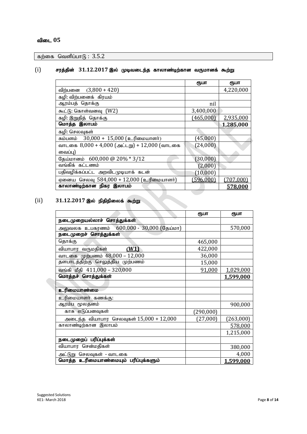கற்கை வெளிப்பா $6: 3.5.2$ 

#### $(i)$  சரத்தின்  $31.12.2017$  இல் முடிவடைந்த காலாண்டிற்கான வருமானக் கூற்று

|                                              | ரூபா         | ரூபா      |
|----------------------------------------------|--------------|-----------|
| விற்பனை (3,800 + 420)                        |              | 4,220,000 |
| கழி: விற்பனைக்  கிரயம்                       |              |           |
| ஆரம்பத் தொக்கு                               | nil          |           |
| கூட்டு: கொள்வனவு (W2)                        | 3,400,000    |           |
| கழி: இறுதித் தொக்கு                          | (465,000)    | 2,935,000 |
| மொத்த இலாபம்                                 |              | 1,285,000 |
| கழி: செலவுகள்                                |              |           |
| சும்பளம் 30,000 + 15,000 (உரிமையாளர்)        | (45,000)     |           |
| வாடகை 8,000 + 4,000 (அட்டறு) + 12,000 (வாடகை | (24,000)     |           |
| வைப்பு)                                      |              |           |
| தேய்மானம் 600,000 @ 20% * 3/12               | (30,000)     |           |
| வங்கிக் கட்டணம்                              | (2,000)      |           |
| பதிவழிக்கப்பட்ட அறவிடமுடியாக் கடன்           | $(10,\!000)$ |           |
| ஏனைய செலவு 584,000 + 12,000 (உரிமையாளர்)     | (596,000)    | (707,000) |
| காலாண்டிற்கான நிகர இலாபம்                    |              | 578,000   |
|                                              |              |           |

#### $(ii)$  31.12.2017 இல் நிதிநிலைக் கூற்று

|                                              | ரூபா          | ரூபா      |
|----------------------------------------------|---------------|-----------|
| நடைமுறையல்லாச் சொத்துக்கள்                   |               |           |
| அலுவலக உபகரணம் $600,000$ - $30,000$ (தேய்மா) |               | 570,000   |
| நடைமுறைச் சொத்துக்கள்                        |               |           |
| தொக்கு                                       | 465,000       |           |
| (W1)<br>வியாபார வருமதிகள்                    | 422,000       |           |
| வாடகை முற்பணம் 48,000 – 12,000               | 36,000        |           |
| தளபாடத்திற்கு செலுத்திய முற்பணம்             | 15,000        |           |
| வங்கி மீதி 411,000 – 320,000                 | 91,000        | 1,029,000 |
| மொத்தச் சொத்துக்கள்                          |               | 1,599,000 |
|                                              |               |           |
| உரிமையாண்மை                                  |               |           |
| உரிமையாளா் கணக்கு:                           |               |           |
| ஆரம்ப மூலதனம்                                |               | 900,000   |
| காசு எடுப்பனவுகள்                            | $[290,\!000]$ |           |
| அடைந்த வியாபார செலவுகள் $15,000 + 12,000$    | (27,000)      | (263,000) |
| காலாண்டிற்கான இலாபம்                         |               | 578,000   |
|                                              |               | 1,215,000 |
| நடைமுறைப் பரிப்புக்கள்                       |               |           |
| வியாபார சென்மதிகள்                           |               | 380,000   |
| அட்டுறு செலவுகள் - வாடகை                     |               | 4,000     |
| மொத்த உரிமையாண்மையும் பரிப்புக்களும்         |               | 1,599,000 |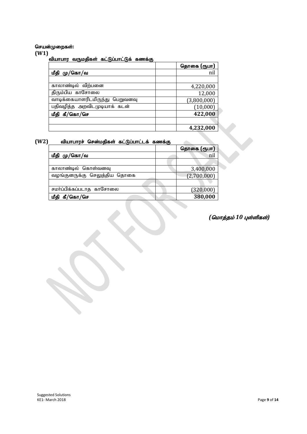#### செயன்முறைகள்:

#### **(W1)**

#### ,<br>வியாபார வருமதிகள் கட்டுப்பாட்டுக் கணக்கு

|                                 | தொகை (ரூபா) |
|---------------------------------|-------------|
| மீதி மு/கொ/வ                    | nil         |
|                                 |             |
| காலாண்டில் விற்பனை              | 4,220,000   |
| திரும்பிய காசோலை                | 12,000      |
| வாடிக்கையாளரிடமிருந்து பெறுவனவு | (3,800,000) |
| பதிவழித்த அறவிடமுடியாக் கடன்    | (10,000)    |
| கீ/கொ/செ<br>மீதி                | 422,000     |
|                                 |             |
|                                 | 4,232,000   |

#### (W2) வியாபாரச் சென்மதிகள் கட்டுப்பாட்டக் கணக்கு

|                              | தொகை (ரூபா) |
|------------------------------|-------------|
| மீதி மு/கொ/வ                 | nil         |
|                              |             |
| காலாண்டில் கொள்வனவு          | 3,400,000   |
| வழங்குனருக்கு செலுத்திய தொகை | (2,700,000) |
|                              |             |
| சமா்ப்பிக்கப்படாத காசோலை     | (320,000)   |
| கீ/கொ/செ                     | 380,000     |

#### *(மொத்தம் 10 புள்ளிகள்)*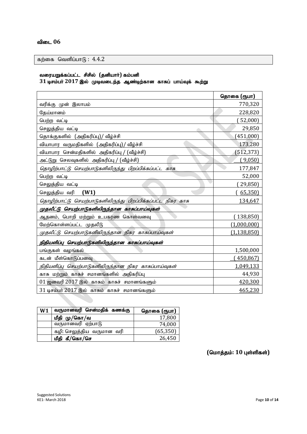#### விடை 06

கற்கை வெளிப்பா $f<sub>b</sub>$ : 4.4.2

#### வரையறுக்கப்பட்ட சிசில் (தனியாா்) கம்பனி

 $31\,$ டிசம்பர்  $2017\,$ இல் முடிவடைந்த ஆண்டிற்கான காசுப் பாய்வுக் கூற்று

|                                                              | தொகை (ரூபா)   |
|--------------------------------------------------------------|---------------|
| வரிக்கு முன் இலாபம்                                          | 770,320       |
| தேய்மானம்                                                    | 228,820       |
| பெற்ற வட்டி                                                  | 52,000        |
| செலுத்திய வட்டி                                              | 29,850        |
| தொக்குகளில் (அதிகரிப்பு)/ வீழ்ச்சி                           | (451,000)     |
| வியாபார வருமதிகளில் (அதிகரிப்பு)/ வீழ்ச்சி                   | 173,280       |
| வியாபார சென்மதிகளில் அதிகரிப்பு / (வீழ்ச்சி)                 | (512, 373)    |
| அட்டுறு செலவுகளில் அதிகரிப்பு / (வீழ்ச்சி)                   | (9,050)       |
| தொழிற்பாட்டு செயற்பாடுகளிலிருந்து பிறப்பிக்கப்பட்ட காசு      | 177,847       |
| பெற்ற வட்டி                                                  | 52,000        |
| செலுத்திய வட்டி                                              | 29,850)       |
| செலுத்திய வரி<br>(W1)                                        | 65,350        |
| தொழிற்பாட்டு செயற்பாடுகளிலிருந்து பிறப்பிக்கப்பட்ட நிகர காசு | 134,647       |
| முதலீட்டு செயற்பாடுகளிலிருந்தான காசுப்பாய்வுகள்              |               |
| ஆதனம், பொறி மற்றும் உபகரண கொள்வனவு                           | 138,850)      |
| மேற்கொள்ளப்பட்ட முதலீடு                                      | (1,000,000)   |
| முதலீட்டு செயற்பாடுகளிலிருந்தான நிகர காசுப்பாய்வுகள்         | (1, 138, 850) |
| நிதியளிப்பு செயற்பாடுகளிலிருந்தான காசுப்பாய்வுகள்            |               |
| பங்குகள் வழங்கல்                                             | 1,500,000     |
| கடன் மீள்கொடுப்பனவு                                          | (450, 867)    |
| நிதியளிப்பு செயற்பாடுகளிலிருந்தான நிகர காசுப்பாய்வுகள்       | 1,049,133     |
| காசு மற்றும் காசுச் சமானங்களில் அதிகரிப்பு                   | 44,930        |
| $01$ ஜனவரி $2017$ இல் காசும் காசுச் சமானங்களும்              | 420,300       |
| 31 டிசம்பர் 2017 இல் காசும் காசுச் சமானங்களும்               | 465,230       |

| W <sub>1</sub> | வருமானவரி சென்மதிக் கணக்கு | தொகை (ரூபா) |
|----------------|----------------------------|-------------|
|                | மீதி மு/கொ/வ               | 17,800      |
|                | வருமானவரி ஏற்பாடு          | 74,000      |
|                | கழி: செலுத்திய வருமான வரி  | (65, 350)   |
|                | மீதி கீ/கொ/செ              | 26,450      |

 $($ மொத்தம்: 10 புள்ளிகள்)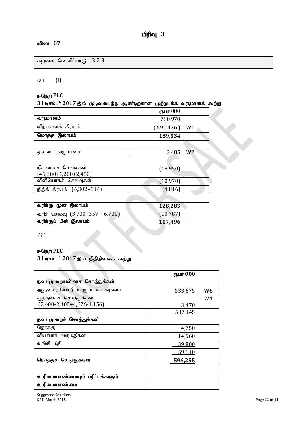#### $\mathbf{a}$ ிடை  $07$

கற்கை வெளிப்பா $6\quad 3.2.3$ 

#### (a) (i)

#### **ஈ-நெற் PLC**

| $31$ டிசம்பர் $2017$ இல் முடிவடைந்த ஆண்டிற்கான முற்றடக்க வருமானக் கூற்று |            |                |  |
|--------------------------------------------------------------------------|------------|----------------|--|
|                                                                          | ரூபா.000   |                |  |
| வருமானம்                                                                 | 780,970    |                |  |
| விற்பனைக் கிரயம்                                                         | (591, 436) | W1             |  |
| மொத்த இலாபம்                                                             | 189,534    |                |  |
|                                                                          |            |                |  |
| ஏனைய வருமானம்                                                            | 3,485      | W <sub>2</sub> |  |
|                                                                          |            |                |  |
| நிருவாகச் செலவுகள்                                                       | (48, 950)  |                |  |
| $(45,300+1,200+2,450)$                                                   |            |                |  |
| வினியோகச் செலவுகள்                                                       | (10, 970)  |                |  |
| நிதிக் கிரயம் (4,302+514)                                                | (4,816)    |                |  |
|                                                                          |            |                |  |
| வரிக்கு முன் இலாபம்                                                      | 128,283    |                |  |
| வரிச் செலவு (3,700+357 + 6,730)                                          | (10, 787)  |                |  |
| வரிக்குப் பின் இலாபம்                                                    | 117,496    |                |  |
|                                                                          |            |                |  |

(ii)

#### **ஈ-நெற் PLC**

# ் 31 டிசம்பர் 2017 இல் நிதிநிலைக் கூற்று

|                                | ரூபா 000       |    |
|--------------------------------|----------------|----|
| நடைமுறையல்லாச் சொத்துக்கள்     |                |    |
| ஆதனம், பொறி மற்றும் உபகரணம்    | 533,675        | W6 |
| குத்தகைச் சொத்துக்கள்          |                | W4 |
| $(2,400-2,400+4,626-1,156)$    | <u>3,470</u>   |    |
|                                | 537,145        |    |
| நடைமுறைச் சொத்துக்கள்          |                |    |
| தொக்கு                         | 4,750          |    |
| வியாபார வருமதிகள்              | 14,560         |    |
| வங்கி மீதி                     | 39,800         |    |
|                                | 59,110         |    |
| மொத்தச் சொத்துக்கள்            | <u>596,255</u> |    |
|                                |                |    |
| உரிமையாண்மையும் பரிப்புக்களும் |                |    |
| உரிமையாண்மை                    |                |    |

Suggested Solutions KE1- March 2018 Page **11** of **14**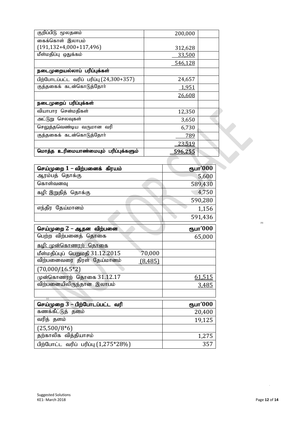| குறிப்பிடு மூலதனம்                         | 200,000        |  |
|--------------------------------------------|----------------|--|
| கைக்கொள் இலாபம்                            |                |  |
| $(191, 132 + 4, 000 + 117, 496)$           | 312,628        |  |
| மீள்மதிப்பு ஒதுக்கம்                       | 33,500         |  |
|                                            | 546,128        |  |
| நடைமுறையல்லாப் பரிப்புக்கள்                |                |  |
| பிற்போடப்பட்ட வரிப் பரிப்பு $(24,300+357)$ | 24,657         |  |
| குத்தகைக் கடன்கொடுத்தோர்                   | 1,951          |  |
|                                            | 26,608         |  |
| நடைமுறைப் பரிப்புக்கள்                     |                |  |
| வியாபார சென்மதிகள்                         | 12,350         |  |
| அட்டுறு செலவுகள்                           | 3,650          |  |
| செலுத்தவெண்டிய வருமான வரி                  | 6,730          |  |
| குத்தகைக் கடன்கொடுத்தோர்                   | 789            |  |
|                                            | 23,519         |  |
| மொத்த உரிமையாண்மையும் பரிப்புக்களும்       | <u>596.255</u> |  |

| செய்முறை 1 – விற்பனைக்  கிரயம்             | ரூபா'000 |
|--------------------------------------------|----------|
| ஆரம்பத் தொக்கு                             | 5,600    |
| கொள்வனவு                                   | 589,430  |
| கழி: இறுதித் தொக்கு                        | 4,750    |
|                                            | 590,280  |
| எந்திர தேய்மானம்                           | 1,156    |
|                                            | 591,436  |
| செய்முறை 2 – ஆதன விற்பனை                   | ரூபா'000 |
| பெற்ற விற்பனைத் தொகை                       | 65,000   |
| <u>கழி: முன்கொணரற்  தொகை</u>               |          |
| மீள்மதிப்புப் பெறுமதி 31.12.2015<br>70,000 |          |
| விற்பனைவரை திரள் தேய்மானம்<br>(8, 485)     |          |
| $(70,000/16.5*2)$                          |          |
| முன்கொணரற் தொகை 31.12.17                   | 61,515   |
| விற்பனையிலிருந்தான இலாபம்                  | 3,485    |
|                                            |          |
| (c)<br>செய்முறை 3 – பிற்போடப்பட்ட வரி      | ரூபா'000 |
| கணக்கீட்டுத் தளம்                          | 20,400   |
| வரித் தளம்                                 | 19,125   |
| $(25,500/8*6)$                             |          |
| தற்காலிக வித்தியாசம்                       | 1,275    |
| பிற்போட்ட வரிப் பரிப்பு (1,275*28%)        | 357      |

 $\sim$ 

(b)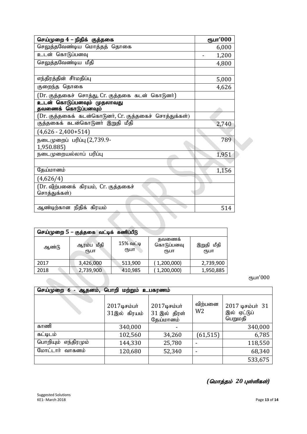| செய்முறை 4 – நிதிக் குத்தகை                              | ரூபா'000 |  |
|----------------------------------------------------------|----------|--|
| செலுத்தவேண்டிய மொத்தத் தொகை                              | 6,000    |  |
| உடன் கொடுப்பனவு                                          | 1,200    |  |
| செலுத்தவேண்டிய மீதி                                      | 4,800    |  |
|                                                          |          |  |
| எந்திரத்தின் சீா்மதிப்பு                                 | 5,000    |  |
| குறைந்த தொகை                                             | 4,626    |  |
| (Dr. குத்தகைச்  சொத்து, Cr. குத்தகை  கடன்  கொடுனர்)      |          |  |
| உடன் கொடுப்பனவும் முதலாவது<br>தவணைக் கொடுப்பனவும்        |          |  |
| (Dr. குத்தகைக்  கடன்கொடுனர், Cr. குத்தகைச்  சொத்துக்கள்) |          |  |
| குத்தகைக் கடன்கொடுனா் இறுதி மீதி                         | 2,740    |  |
| $(4,626 - 2,400 + 514)$                                  |          |  |
| நடைமுறைப் பரிப்பு (2,739.9-                              | 789      |  |
| 1,950.885)                                               |          |  |
| நடைமுறையல்லாப் பரிப்பு                                   | 1,951    |  |
|                                                          |          |  |
| தேய்மானம்                                                | 1,156    |  |
| (4,626/4)                                                |          |  |
| (Dr. விற்பனைக் கிரயம், Cr. குத்தகைச்                     |          |  |
| சொத்துக்கள்)                                             |          |  |
| ஆண்டிற்கான நிதிக் கிரயம்                                 |          |  |
|                                                          | 514      |  |
|                                                          |          |  |
|                                                          |          |  |

| செய்முறை 5 – குத்தகை வட்டிக் கணிப்பீடு |                    |                   |                             |                    |
|----------------------------------------|--------------------|-------------------|-----------------------------|--------------------|
| ஆண்டு                                  | ஆரம்ப மீதி<br>ரூபா | 15% வட்டி<br>ιҧ⊔п | தவணைக<br>கொடுப்பனவு<br>ரூபா | இறுதி மீதி<br>₹ҦШП |
| 2017                                   | 3,426,000          | 513,900           | (1,200,000)                 | 2,739,900          |
| 2018                                   | 2,739,900          | 410,985           | (1,200,000)                 | 1,950,885          |

ரூபா'000

| செய்முறை 6<br>ஆதனம், பொறி மற்றும் உபகரணம் |                                 |                                              |                           |                                            |
|-------------------------------------------|---------------------------------|----------------------------------------------|---------------------------|--------------------------------------------|
|                                           | $2017$ டிசம்பர்<br>31இல் கிரயம் | $2017$ டிசம்பர்<br>31 இல் திரள்<br>தேய்மானம் | விற்பனை<br>W <sub>2</sub> | 2017 டிசம்பர் 31<br>இல் ஏட்டுப்<br>பெறுமதி |
| காணி                                      | 340,000                         |                                              |                           | 340,000                                    |
| கட்டிடம்                                  | 102,560                         | 34,260                                       | (61, 515)                 | 6,785                                      |
| பொறியும்<br>எந்திரமும்                    | 144,330                         | 25,780                                       |                           | 118,550                                    |
| மோட்டார் வாகனம்                           | 120,680                         | 52,340                                       |                           | 68,340                                     |
|                                           |                                 |                                              |                           | 533,675                                    |

#### $($ மொத்தம் 20 புள்ளிகள்)